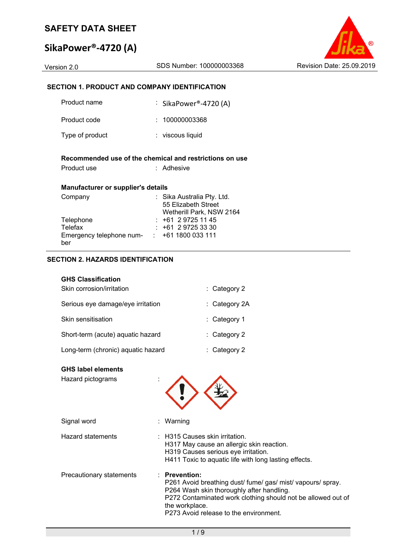# **SikaPower®‐4720 (A)**



### **SECTION 1. PRODUCT AND COMPANY IDENTIFICATION**

| Product name                                                        | : SikaPower®-4720 (A)                                                         |
|---------------------------------------------------------------------|-------------------------------------------------------------------------------|
| Product code                                                        | : 100000003368                                                                |
| Type of product                                                     | ∶ viscous liquid                                                              |
| Product use                                                         | Recommended use of the chemical and restrictions on use<br>: Adhesive         |
| <b>Manufacturer or supplier's details</b>                           |                                                                               |
| Company                                                             | : Sika Australia Pty. Ltd.<br>55 Elizabeth Street<br>Wetherill Park, NSW 2164 |
| Telephone                                                           | $: +61297251145$                                                              |
| Telefax<br>Emergency telephone num- $\cdot$ +61 1800 033 111<br>ber | : +61 2 9725 33 30                                                            |

### **SECTION 2. HAZARDS IDENTIFICATION**

| <b>GHS Classification</b> |  |
|---------------------------|--|
| Skin corrosion/irritation |  |

| Serious eye damage/eye irritation  | $:$ Category 2A         |
|------------------------------------|-------------------------|
| Skin sensitisation                 | $:$ Category 1          |
| Short-term (acute) aquatic hazard  | $\therefore$ Category 2 |
| Long-term (chronic) aquatic hazard | $:$ Category 2          |

### **GHS label elements**

| טווט ומטטו טוטווט<br>Hazard pictograms |                                                                                                                                                                                                                                                    |
|----------------------------------------|----------------------------------------------------------------------------------------------------------------------------------------------------------------------------------------------------------------------------------------------------|
| Signal word                            | : Warning                                                                                                                                                                                                                                          |
| <b>Hazard statements</b>               | $\pm$ H315 Causes skin irritation.<br>H317 May cause an allergic skin reaction.<br>H319 Causes serious eye irritation.<br>H411 Toxic to aquatic life with long lasting effects.                                                                    |
| Precautionary statements               | $:$ Prevention:<br>P261 Avoid breathing dust/fume/gas/mist/vapours/spray.<br>P264 Wash skin thoroughly after handling.<br>P272 Contaminated work clothing should not be allowed out of<br>the workplace.<br>P273 Avoid release to the environment. |

: Category 2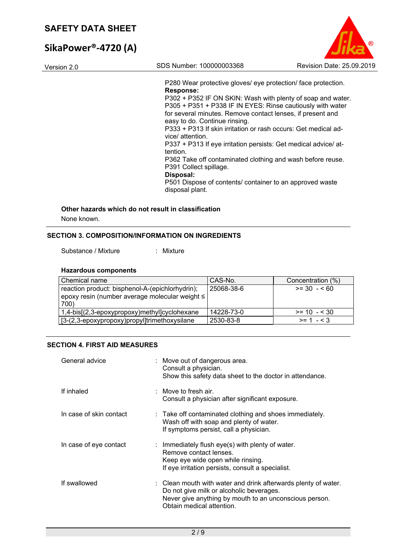# **SikaPower®‐4720 (A)**

Version 2.0 SDS Number: 100000003368 Revision Date: 25.09.2019

P280 Wear protective gloves/ eye protection/ face protection. **Response:**  P302 + P352 IF ON SKIN: Wash with plenty of soap and water. P305 + P351 + P338 IF IN EYES: Rinse cautiously with water for several minutes. Remove contact lenses, if present and easy to do. Continue rinsing.

P333 + P313 If skin irritation or rash occurs: Get medical advice/ attention.

P337 + P313 If eye irritation persists: Get medical advice/ attention.

P362 Take off contaminated clothing and wash before reuse. P391 Collect spillage.

**Disposal:** 

P501 Dispose of contents/ container to an approved waste disposal plant.

### **Other hazards which do not result in classification**

None known.

### **SECTION 3. COMPOSITION/INFORMATION ON INGREDIENTS**

Substance / Mixture : Mixture

### **Hazardous components**

| Chemical name                                   | CAS-No.    | Concentration (%) |
|-------------------------------------------------|------------|-------------------|
| reaction product: bisphenol-A-(epichlorhydrin); | 25068-38-6 | $>= 30 - 60$      |
| epoxy resin (number average molecular weight ≤  |            |                   |
| 700)                                            |            |                   |
| 1,4-bis[(2,3-epoxypropoxy)methyl]cyclohexane    | 14228-73-0 | $>= 10 - 530$     |
| [3-(2,3-epoxypropoxy)propyl]trimethoxysilane    | 2530-83-8  | $>= 1 - 3$        |

### **SECTION 4. FIRST AID MEASURES**

| General advice          | : Move out of dangerous area.<br>Consult a physician.<br>Show this safety data sheet to the doctor in attendance.                                                                                 |
|-------------------------|---------------------------------------------------------------------------------------------------------------------------------------------------------------------------------------------------|
| If inhaled              | : Move to fresh air.<br>Consult a physician after significant exposure.                                                                                                                           |
| In case of skin contact | : Take off contaminated clothing and shoes immediately.<br>Wash off with soap and plenty of water.<br>If symptoms persist, call a physician.                                                      |
| In case of eye contact  | : Immediately flush eye(s) with plenty of water.<br>Remove contact lenses.<br>Keep eye wide open while rinsing.<br>If eye irritation persists, consult a specialist.                              |
| If swallowed            | : Clean mouth with water and drink afterwards plenty of water.<br>Do not give milk or alcoholic beverages.<br>Never give anything by mouth to an unconscious person.<br>Obtain medical attention. |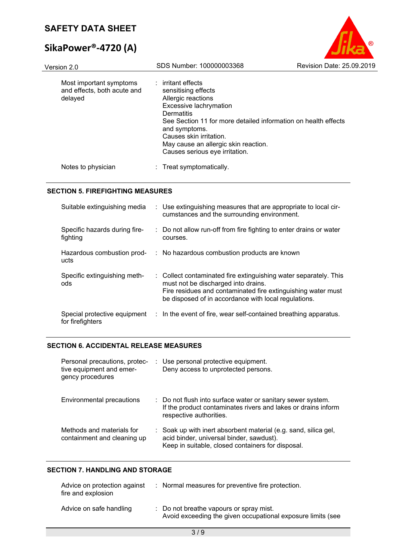# **SikaPower®‐4720 (A)**

| Version 2.0                                                       | SDS Number: 100000003368                                                                                                                                                                                                    | Revision Date: 25.09.2019                                      |
|-------------------------------------------------------------------|-----------------------------------------------------------------------------------------------------------------------------------------------------------------------------------------------------------------------------|----------------------------------------------------------------|
| Most important symptoms<br>and effects, both acute and<br>delayed | irritant effects<br>sensitising effects<br>Allergic reactions<br>Excessive lachrymation<br>Dermatitis<br>and symptoms.<br>Causes skin irritation.<br>May cause an allergic skin reaction.<br>Causes serious eye irritation. | See Section 11 for more detailed information on health effects |
| Notes to physician                                                | : Treat symptomatically.                                                                                                                                                                                                    |                                                                |

 $\circ$ 

#### **SECTION 5. FIREFIGHTING MEASURES**

| Suitable extinguishing media                     | : Use extinguishing measures that are appropriate to local cir-<br>cumstances and the surrounding environment.                                                                                                                  |  |
|--------------------------------------------------|---------------------------------------------------------------------------------------------------------------------------------------------------------------------------------------------------------------------------------|--|
| Specific hazards during fire-<br>fighting        | : Do not allow run-off from fire fighting to enter drains or water<br>courses.                                                                                                                                                  |  |
| Hazardous combustion prod-<br>ucts               | : No hazardous combustion products are known                                                                                                                                                                                    |  |
| Specific extinguishing meth-<br>ods              | : Collect contaminated fire extinguishing water separately. This<br>must not be discharged into drains.<br>Fire residues and contaminated fire extinguishing water must<br>be disposed of in accordance with local regulations. |  |
| Special protective equipment<br>for firefighters | : In the event of fire, wear self-contained breathing apparatus.                                                                                                                                                                |  |

### **SECTION 6. ACCIDENTAL RELEASE MEASURES**

| Personal precautions, protec-<br>tive equipment and emer-<br>gency procedures | : Use personal protective equipment.<br>Deny access to unprotected persons.                                                                                      |
|-------------------------------------------------------------------------------|------------------------------------------------------------------------------------------------------------------------------------------------------------------|
| Environmental precautions                                                     | : Do not flush into surface water or sanitary sewer system.<br>If the product contaminates rivers and lakes or drains inform<br>respective authorities.          |
| Methods and materials for<br>containment and cleaning up                      | : Soak up with inert absorbent material (e.g. sand, silica gel,<br>acid binder, universal binder, sawdust).<br>Keep in suitable, closed containers for disposal. |

## **SECTION 7. HANDLING AND STORAGE**

| Advice on protection against<br>fire and explosion | : Normal measures for preventive fire protection.                                                      |
|----------------------------------------------------|--------------------------------------------------------------------------------------------------------|
| Advice on safe handling                            | : Do not breathe vapours or spray mist.<br>Avoid exceeding the given occupational exposure limits (see |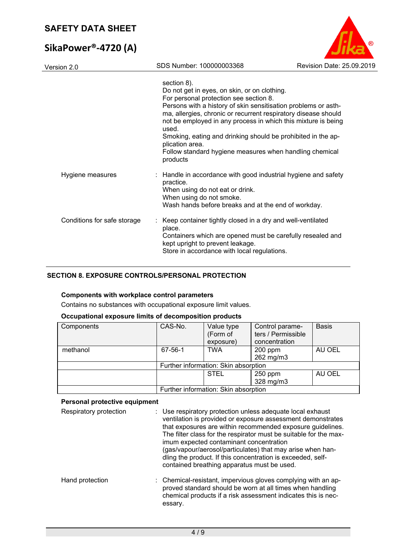# **SikaPower®‐4720 (A)**

| (R                        |
|---------------------------|
| Revision Date: 25.09.2019 |
|                           |

Version 2.0 SDS Number: 100000003368

|                             | section 8).<br>Do not get in eyes, on skin, or on clothing.<br>For personal protection see section 8.<br>Persons with a history of skin sensitisation problems or asth-<br>ma, allergies, chronic or recurrent respiratory disease should<br>not be employed in any process in which this mixture is being<br>used.<br>Smoking, eating and drinking should be prohibited in the ap-<br>plication area.<br>Follow standard hygiene measures when handling chemical<br>products |
|-----------------------------|-------------------------------------------------------------------------------------------------------------------------------------------------------------------------------------------------------------------------------------------------------------------------------------------------------------------------------------------------------------------------------------------------------------------------------------------------------------------------------|
| Hygiene measures            | : Handle in accordance with good industrial hygiene and safety<br>practice.<br>When using do not eat or drink.<br>When using do not smoke.<br>Wash hands before breaks and at the end of workday.                                                                                                                                                                                                                                                                             |
| Conditions for safe storage | : Keep container tightly closed in a dry and well-ventilated<br>place.<br>Containers which are opened must be carefully resealed and<br>kept upright to prevent leakage.<br>Store in accordance with local regulations.                                                                                                                                                                                                                                                       |

### **SECTION 8. EXPOSURE CONTROLS/PERSONAL PROTECTION**

### **Components with workplace control parameters**

Contains no substances with occupational exposure limit values.

### **Occupational exposure limits of decomposition products**

| Components | CAS-No. | Value type<br>(Form of<br>exposure)  | Control parame-<br>ters / Permissible<br>concentration | <b>Basis</b> |
|------------|---------|--------------------------------------|--------------------------------------------------------|--------------|
| methanol   | 67-56-1 | <b>TWA</b>                           | $200$ ppm<br>262 mg/m3                                 | AU OEL       |
|            |         | Further information: Skin absorption |                                                        |              |
|            |         | <b>STEL</b>                          | 250 ppm<br>328 mg/m3                                   | AU OEL       |
|            |         | Further information: Skin absorption |                                                        |              |

### **Personal protective equipment**

| Respiratory protection | : Use respiratory protection unless adequate local exhaust<br>ventilation is provided or exposure assessment demonstrates<br>that exposures are within recommended exposure guidelines.<br>The filter class for the respirator must be suitable for the max-<br>imum expected contaminant concentration<br>(gas/vapour/aerosol/particulates) that may arise when han-<br>dling the product. If this concentration is exceeded, self-<br>contained breathing apparatus must be used. |
|------------------------|-------------------------------------------------------------------------------------------------------------------------------------------------------------------------------------------------------------------------------------------------------------------------------------------------------------------------------------------------------------------------------------------------------------------------------------------------------------------------------------|
| Hand protection        | : Chemical-resistant, impervious gloves complying with an ap-<br>proved standard should be worn at all times when handling<br>chemical products if a risk assessment indicates this is nec-<br>essary.                                                                                                                                                                                                                                                                              |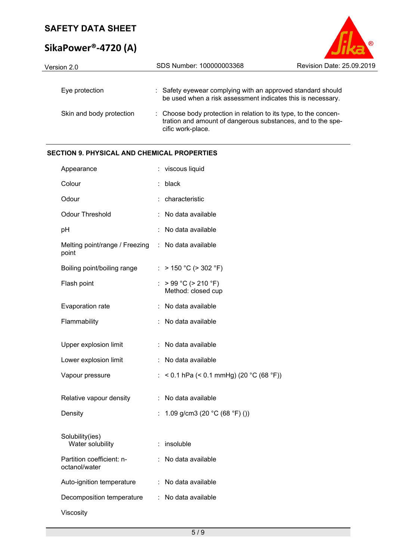# **SikaPower®‐4720 (A)**



| Version 2.0              | SDS Number: 100000003368                                                                                                                             | Revision Date: 25.09.2019 |
|--------------------------|------------------------------------------------------------------------------------------------------------------------------------------------------|---------------------------|
| Eye protection           | : Safety eyewear complying with an approved standard should<br>be used when a risk assessment indicates this is necessary.                           |                           |
| Skin and body protection | : Choose body protection in relation to its type, to the concen-<br>tration and amount of dangerous substances, and to the spe-<br>cific work-place. |                           |

### **SECTION 9. PHYSICAL AND CHEMICAL PROPERTIES**

| Appearance                                 |    | viscous liquid                                    |
|--------------------------------------------|----|---------------------------------------------------|
| Colour                                     |    | black                                             |
| Odour                                      |    | characteristic                                    |
| <b>Odour Threshold</b>                     |    | No data available                                 |
| рH                                         |    | No data available                                 |
| Melting point/range / Freezing :<br>point  |    | No data available                                 |
| Boiling point/boiling range                |    | : > 150 °C (> 302 °F)                             |
| Flash point                                | t. | > 99 °C (> 210 °F)<br>Method: closed cup          |
| Evaporation rate                           |    | No data available                                 |
| Flammability                               |    | No data available                                 |
| Upper explosion limit                      |    | No data available                                 |
| Lower explosion limit                      |    | : No data available                               |
| Vapour pressure                            |    | < 0.1 hPa (< 0.1 mmHg) (20 °C (68 °F))            |
| Relative vapour density                    | ÷  | No data available                                 |
| Density                                    | ÷. | 1.09 g/cm3 (20 $^{\circ}$ C (68 $^{\circ}$ F) ()) |
| Solubility(ies)<br>Water solubility        |    | insoluble                                         |
| Partition coefficient: n-<br>octanol/water |    | No data available                                 |
| Auto-ignition temperature                  | ÷  | No data available                                 |
| Decomposition temperature                  |    | : No data available                               |
| Viscosity                                  |    |                                                   |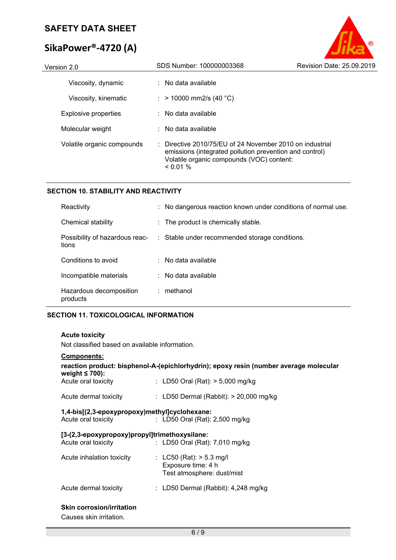# **SikaPower®‐4720 (A)**

| Version 2.0                | SDS Number: 100000003368                                                                                                                                                     | Revision Date: 25.09.2019 |
|----------------------------|------------------------------------------------------------------------------------------------------------------------------------------------------------------------------|---------------------------|
| Viscosity, dynamic         | $\therefore$ No data available                                                                                                                                               |                           |
| Viscosity, kinematic       | : > 10000 mm2/s (40 °C)                                                                                                                                                      |                           |
| Explosive properties       | $\therefore$ No data available                                                                                                                                               |                           |
| Molecular weight           | $\therefore$ No data available                                                                                                                                               |                           |
| Volatile organic compounds | : Directive 2010/75/EU of 24 November 2010 on industrial<br>emissions (integrated pollution prevention and control)<br>Volatile organic compounds (VOC) content:<br>$0.01\%$ |                           |

B

### **SECTION 10. STABILITY AND REACTIVITY**

| Reactivity                              | : No dangerous reaction known under conditions of normal use. |
|-----------------------------------------|---------------------------------------------------------------|
| Chemical stability                      | : The product is chemically stable.                           |
| Possibility of hazardous reac-<br>tions | : Stable under recommended storage conditions.                |
| Conditions to avoid                     | $\therefore$ No data available                                |
| Incompatible materials                  | $\therefore$ No data available                                |
| Hazardous decomposition<br>products     | $:$ methanol                                                  |

### **SECTION 11. TOXICOLOGICAL INFORMATION**

### **Acute toxicity**

Not classified based on available information.

| <b>Components:</b>                            |                                                                                       |
|-----------------------------------------------|---------------------------------------------------------------------------------------|
| weight $\leq 700$ :                           | reaction product: bisphenol-A-(epichlorhydrin); epoxy resin (number average molecular |
| Acute oral toxicity                           | : LD50 Oral (Rat): $> 5,000$ mg/kg                                                    |
| Acute dermal toxicity                         | : LD50 Dermal (Rabbit): $> 20,000$ mg/kg                                              |
| 1,4-bis[(2,3-epoxypropoxy)methyl]cyclohexane: |                                                                                       |
|                                               | Acute oral toxicity : LD50 Oral (Rat): 2,500 mg/kg                                    |
| [3-(2,3-epoxypropoxy)propyl]trimethoxysilane: |                                                                                       |
| Acute oral toxicity                           | $\therefore$ LD50 Oral (Rat): 7,010 mg/kg                                             |
| Acute inhalation toxicity                     | : LC50 (Rat): $>$ 5.3 mg/l                                                            |
|                                               | Exposure time: 4 h                                                                    |
|                                               | Test atmosphere: dust/mist                                                            |
| Acute dermal toxicity                         | : LD50 Dermal (Rabbit): $4,248$ mg/kg                                                 |
| <b>Skin corrosion/irritation</b>              |                                                                                       |

Causes skin irritation.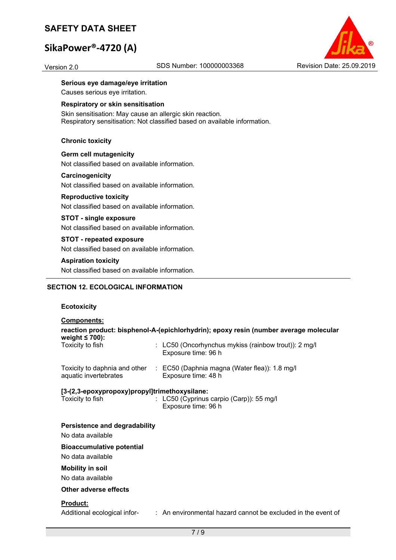# **SikaPower®‐4720 (A)**



#### **Serious eye damage/eye irritation**

Causes serious eye irritation.

#### **Respiratory or skin sensitisation**

Skin sensitisation: May cause an allergic skin reaction. Respiratory sensitisation: Not classified based on available information.

#### **Chronic toxicity**

## **Germ cell mutagenicity**

Not classified based on available information.

#### **Carcinogenicity**

Not classified based on available information.

#### **Reproductive toxicity**

Not classified based on available information.

#### **STOT - single exposure**

Not classified based on available information.

### **STOT - repeated exposure**  Not classified based on available information.

#### **Aspiration toxicity**

Not classified based on available information.

### **SECTION 12. ECOLOGICAL INFORMATION**

### **Ecotoxicity**

| <b>Components:</b>                                                |                                                                                                    |
|-------------------------------------------------------------------|----------------------------------------------------------------------------------------------------|
|                                                                   | reaction product: bisphenol-A-(epichlorhydrin); epoxy resin (number average molecular              |
| weight $\leq 700$ :<br>Toxicity to fish                           | : LC50 (Oncorhynchus mykiss (rainbow trout)): 2 mg/l<br>Exposure time: 96 h                        |
| aquatic invertebrates                                             | Toxicity to daphnia and other : EC50 (Daphnia magna (Water flea)): 1.8 mg/l<br>Exposure time: 48 h |
| [3-(2,3-epoxypropoxy)propyl]trimethoxysilane:<br>Toxicity to fish | : LC50 (Cyprinus carpio (Carp)): 55 mg/l<br>Exposure time: 96 h                                    |
| <b>Persistence and degradability</b>                              |                                                                                                    |
| No data available                                                 |                                                                                                    |
| <b>Bioaccumulative potential</b>                                  |                                                                                                    |
| No data available                                                 |                                                                                                    |
| <b>Mobility in soil</b>                                           |                                                                                                    |
| No data available                                                 |                                                                                                    |
| Other adverse effects                                             |                                                                                                    |
| Product:<br>Additional ecological infor-                          | : An environmental hazard cannot be excluded in the event of                                       |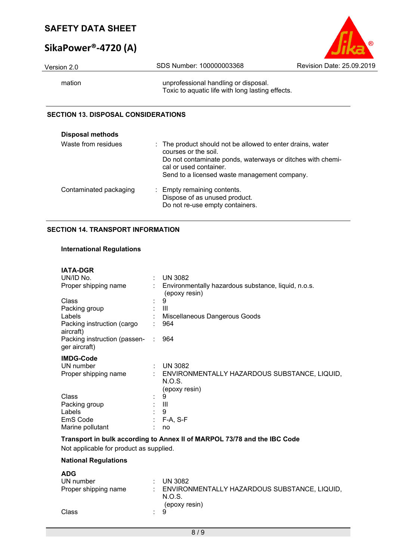# **SikaPower®‐4720 (A)**

| <b>SAFETY DATA SHEET</b>         |                          |                           |
|----------------------------------|--------------------------|---------------------------|
| SikaPower <sup>®</sup> -4720 (A) |                          |                           |
| Version 2.0                      | SDS Number: 100000003368 | Revision Date: 25.09.2019 |

mation mation unprofessional handling or disposal. Toxic to aquatic life with long lasting effects.

## **SECTION 13. DISPOSAL CONSIDERATIONS**

| <b>Disposal methods</b> |                                                                                                                                                                                                                            |
|-------------------------|----------------------------------------------------------------------------------------------------------------------------------------------------------------------------------------------------------------------------|
| Waste from residues     | : The product should not be allowed to enter drains, water<br>courses or the soil.<br>Do not contaminate ponds, waterways or ditches with chemi-<br>cal or used container.<br>Send to a licensed waste management company. |
| Contaminated packaging  | : Empty remaining contents.<br>Dispose of as unused product.<br>Do not re-use empty containers.                                                                                                                            |

### **SECTION 14. TRANSPORT INFORMATION**

### **International Regulations**

| <b>IATA-DGR</b>                               |    |                                                                      |
|-----------------------------------------------|----|----------------------------------------------------------------------|
| UN/ID No.                                     |    | <b>UN 3082</b>                                                       |
| Proper shipping name                          |    | Environmentally hazardous substance, liquid, n.o.s.<br>(epoxy resin) |
| Class                                         |    | 9                                                                    |
| Packing group                                 |    | Ш                                                                    |
| Labels                                        |    | Miscellaneous Dangerous Goods                                        |
| Packing instruction (cargo<br>aircraft)       |    | 964                                                                  |
| Packing instruction (passen-<br>ger aircraft) | ÷. | 964                                                                  |
| <b>IMDG-Code</b>                              |    |                                                                      |
| UN number                                     | ÷. | <b>UN 3082</b>                                                       |
| Proper shipping name                          |    | ENVIRONMENTALLY HAZARDOUS SUBSTANCE, LIQUID,                         |
|                                               |    | N.O.S.                                                               |
|                                               |    | (epoxy resin)                                                        |
| Class                                         |    | 9                                                                    |
| Packing group                                 |    | Ш                                                                    |
| Labels                                        |    | 9                                                                    |
| EmS Code                                      |    | $F-A, S-F$                                                           |
| Marine pollutant                              |    | no                                                                   |

## **Transport in bulk according to Annex II of MARPOL 73/78 and the IBC Code**

Not applicable for product as supplied.

### **National Regulations**

| <b>ADG</b>           |                |                                                                           |
|----------------------|----------------|---------------------------------------------------------------------------|
| UN number            |                | UN 3082                                                                   |
| Proper shipping name |                | : ENVIRONMENTALLY HAZARDOUS SUBSTANCE, LIQUID,<br>N.O.S.<br>(epoxy resin) |
| Class                | $\therefore$ 9 |                                                                           |